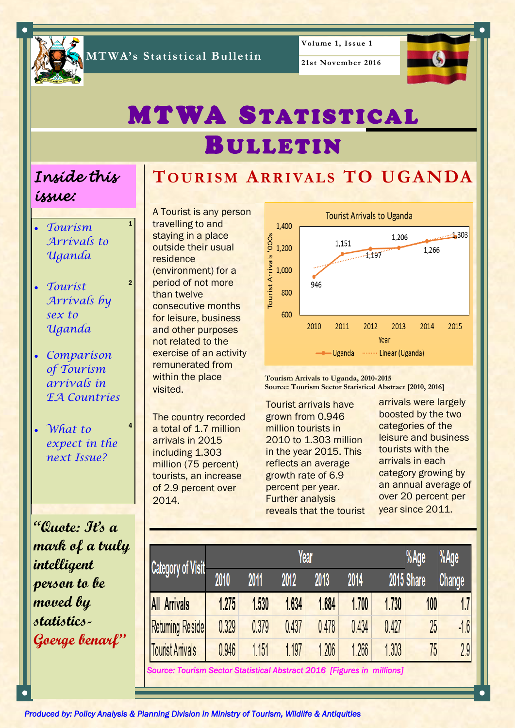

**MTWA's Statistical Bulletin**

**21st November 2016**



# **MTWA STATISTICAL BULLETIN**

**TO U R I S M AR R I VA L S TO UGANDA**

## *Inside this issue:*

1

2

4

- *Tourism Arrivals to Uganda*
- *Tourist Arrivals by sex to Uganda*
- *Comparison of Tourism arrivals in EA Countries*
- *What to expect in the next Issue?*

**"Quote: It's a mark of a truly intelligent person to be moved by statistics-Goerge benarf"**

A Tourist is any person travelling to and staying in a place outside their usual residence (environment) for a period of not more than twelve consecutive months for leisure, business and other purposes not related to the exercise of an activity remunerated from within the place visited.

The country recorded a total of 1.7 million arrivals in 2015 including 1.303 million (75 percent) tourists, an increase of 2.9 percent over 2014.



**Tourism Arrivals to Uganda, 2010-2015 Source: Tourism Sector Statistical Abstract [2010, 2016]**

Tourist arrivals have grown from 0.946 million tourists in 2010 to 1.303 million in the year 2015. This reflects an average growth rate of 6.9 percent per year. Further analysis reveals that the tourist

arrivals were largely boosted by the two categories of the leisure and business tourists with the arrivals in each category growing by an annual average of over 20 percent per year since 2011.

|                                                                        | %Age<br>Year |       |       |       |       |       |            | %Age   |
|------------------------------------------------------------------------|--------------|-------|-------|-------|-------|-------|------------|--------|
| Category of Visit                                                      | 2010         | 2011  | 2012  | 2013  | 2014  |       | 2015 Share | Change |
| <b>All Arrivals</b>                                                    | 1.275        | 1.530 | 1.634 | 1.684 | 1.700 | 1.730 | 100        | 1.7    |
| <b>Retuming Reside</b>                                                 | 0.329        | 0.379 | 0.437 | 0.478 | 0.434 | 0.427 | 25         | 16     |
| <b>Tourist Arrivals</b>                                                | 0.946        | 1.151 | 1.197 | 1.206 | 1.266 | 1.303 | 75         | 2.9    |
| Source: Tourism Sector Statistical Abstract 2016 [Figures in millions] |              |       |       |       |       |       |            |        |

*Produced by: Policy Analysis & Planning Division in Ministry of Tourism, Wildlife & Antiquities*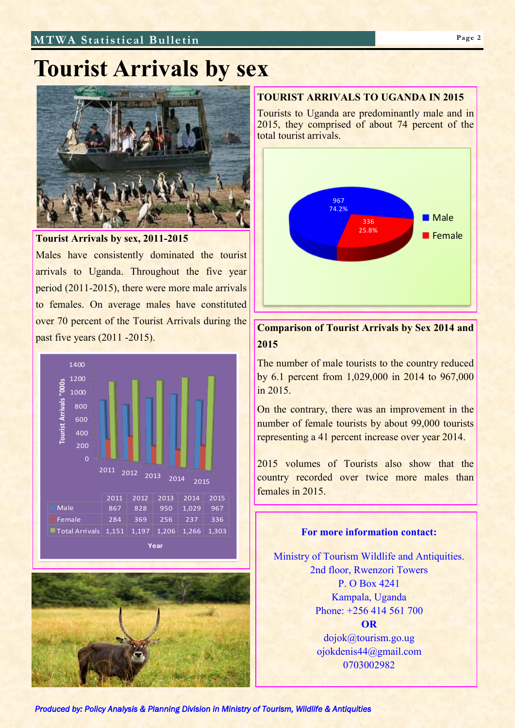### **MTWA Statistical Bulletin Page 2**

# **Tourist Arrivals by sex**



**Tourist Arrivals by sex, 2011-2015**

Males have consistently dominated the tourist arrivals to Uganda. Throughout the five year period (2011-2015), there were more male arrivals to females. On average males have constituted over 70 percent of the Tourist Arrivals during the past five years (2011 -2015).





#### **TOURIST ARRIVALS TO UGANDA IN 2015**

Tourists to Uganda are predominantly male and in 2015, they comprised of about 74 percent of the total tourist arrivals.



### **Comparison of Tourist Arrivals by Sex 2014 and 2015**

The number of male tourists to the country reduced by 6.1 percent from 1,029,000 in 2014 to 967,000 in 2015.

On the contrary, there was an improvement in the number of female tourists by about 99,000 tourists representing a 41 percent increase over year 2014.

2015 volumes of Tourists also show that the country recorded over twice more males than females in 2015.

# **For more information contact:**

Ministry of Tourism Wildlife and Antiquities. 2nd floor, Rwenzori Towers P. O Box 4241 Kampala, Uganda Phone: +256 414 561 700 **OR** dojok@tourism.go.ug

ojokdenis44@gmail.com 0703002982

*Produced by: Policy Analysis & Planning Division in Ministry of Tourism, Wildlife & Antiquities*